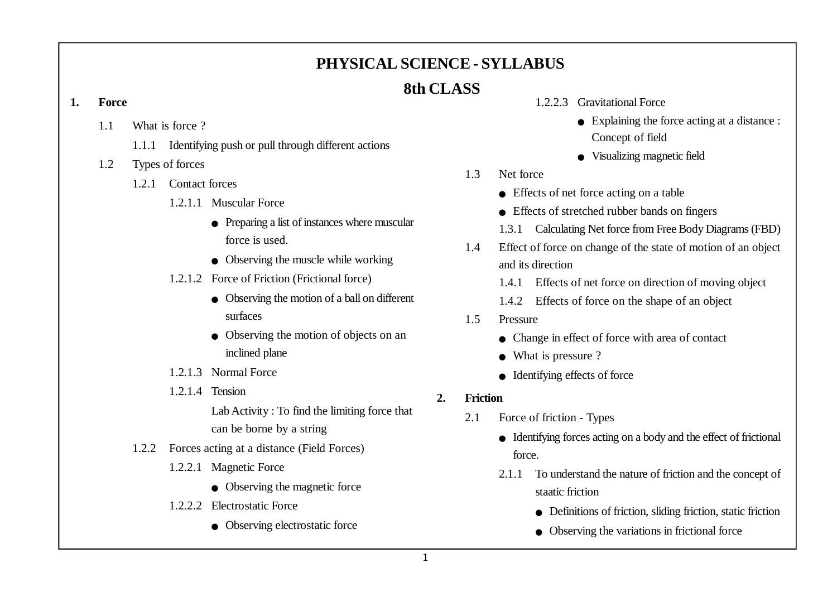## **PHYSICAL SCIENCE - SYLLABUS**

## **8th CLASS**

### **1. Force**

- 1.1 What is force ?
	- 1.1.1 Identifying push or pull through different actions
- 1.2 Types of forces
	- 1.2.1 Contact forces
		- 1.2.1.1 Muscular Force
			- <sup>O</sup> Preparing a list of instances where muscular force is used.
			- $\bullet$  Observing the muscle while working
		- 1.2.1.2 Force of Friction (Frictional force)
			- $\bullet$  Observing the motion of a ball on different surfaces
			- Observing the motion of objects on an inclined plane
		- 1.2.1.3 Normal Force
		- 1.2.1.4 Tension

Lab Activity : To find the limiting force that can be borne by a string

- 1.2.2 Forces acting at a distance (Field Forces)
	- 1.2.2.1 Magnetic Force
		- $\bullet$  Observing the magnetic force
	- 1.2.2.2 Electrostatic Force
		- $\bullet$  Observing electrostatic force
- 1.2.2.3 Gravitational Force
	- $\bullet$  Explaining the force acting at a distance : Concept of field
	- <sup>O</sup> Visualizing magnetic field
- 1.3 Net force
	- $\bullet$  Effects of net force acting on a table
	- <sup>O</sup> Effects of stretched rubber bands on fingers
	- 1.3.1 Calculating Net force from Free Body Diagrams (FBD)
- 1.4 Effect of force on change of the state of motion of an object and its direction
	- 1.4.1 Effects of net force on direction of moving object
	- 1.4.2 Effects of force on the shape of an object
- 1.5 Pressure
	- $\bullet$  Change in effect of force with area of contact
	- What is pressure ?
	- $\bullet$  Identifying effects of force
- **2. Friction**
	- 2.1 Force of friction Types
		- <sup>O</sup> Identifying forces acting on a body and the effect of frictional force.
		- 2.1.1 To understand the nature of friction and the concept of staatic friction
			- $\bullet$  Definitions of friction, sliding friction, static friction
			- $\bullet$  Observing the variations in frictional force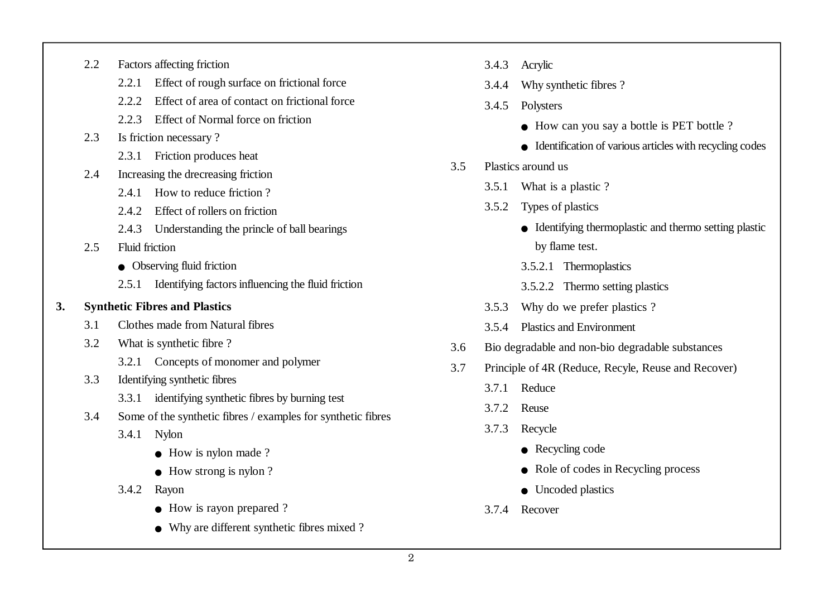- 2.2 Factors affecting friction
	- 2.2.1 Effect of rough surface on frictional force
	- 2.2.2 Effect of area of contact on frictional force
	- 2.2.3 Effect of Normal force on friction
- 2.3 Is friction necessary ?
	- 2.3.1 Friction produces heat
- 2.4 Increasing the drecreasing friction
	- 2.4.1 How to reduce friction?
	- 2.4.2 Effect of rollers on friction
	- 2.4.3 Understanding the princle of ball bearings
- 2.5 Fluid friction
	- $\bullet$  Observing fluid friction
	- 2.5.1 Identifying factors influencing the fluid friction
- **3. Synthetic Fibres and Plastics**
	- 3.1 Clothes made from Natural fibres
	- 3.2 What is synthetic fibre ?
		- 3.2.1 Concepts of monomer and polymer
	- 3.3 Identifying synthetic fibres
		- 3.3.1 identifying synthetic fibres by burning test
	- 3.4 Some of the synthetic fibres / examples for synthetic fibres
		- 3.4.1 Nylon
			- $\bullet$  How is nylon made ?
			- $\bullet$  How strong is nylon ?
		- 3.4.2 Rayon
			- $\bullet$  How is rayon prepared ?
			- <sup>O</sup> Why are different synthetic fibres mixed ?
- 3.4.3 Acrylic
- 3.4.4 Why synthetic fibres ?
- 3.4.5 Polysters
	- $\bullet$  How can you say a bottle is PET bottle ?
	- $\bullet$  Identification of various articles with recycling codes
- 3.5 Plastics around us
	- 3.5.1 What is a plastic ?
	- 3.5.2 Types of plastics
		- $\bullet$  Identifying thermoplastic and thermo setting plastic by flame test.
		- 3.5.2.1 Thermoplastics
		- 3.5.2.2 Thermo setting plastics
	- 3.5.3 Why do we prefer plastics ?
	- 3.5.4 Plastics and Environment
- 3.6 Bio degradable and non-bio degradable substances
- 3.7 Principle of 4R (Reduce, Recyle, Reuse and Recover)
	- 3.7.1 Reduce
	- 3.7.2 Reuse
	- 3.7.3 Recycle
		- $\bullet$  Recycling code
		- $\bullet$  Role of codes in Recycling process
		- $\bullet$  Uncoded plastics
	- 3.7.4 Recover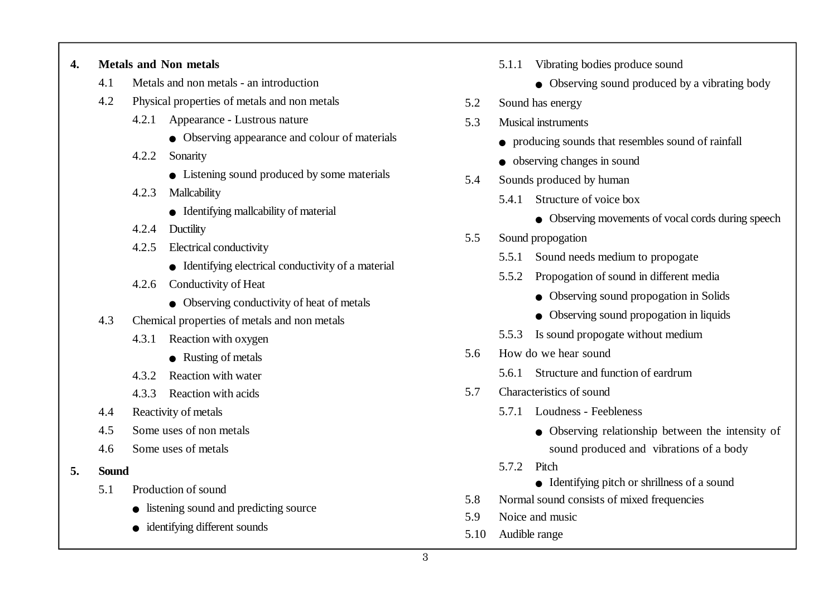#### **4. Metals and Non metals**

- 4.1 Metals and non metals an introduction
- 4.2 Physical properties of metals and non metals
	- 4.2.1 Appearance Lustrous nature
		- $\bullet$  Observing appearance and colour of materials
	- 4.2.2 Sonarity
		- $\bullet$  Listening sound produced by some materials
	- 4.2.3 Mallcability
		- $\bullet$  Identifying mallcability of material
	- 4.2.4 Ductility
	- 4.2.5 Electrical conductivity
		- $\bullet$  Identifying electrical conductivity of a material
	- 4.2.6 Conductivity of Heat
		- $\bullet$  Observing conductivity of heat of metals
- 4.3 Chemical properties of metals and non metals
	- 4.3.1 Reaction with oxygen
		- $\bullet$  Rusting of metals
	- 4.3.2 Reaction with water
	- 4.3.3 Reaction with acids
- 4.4 Reactivity of metals
- 4.5 Some uses of non metals
- 4.6 Some uses of metals
- **5. Sound**
	- 5.1 Production of sound
		- listening sound and predicting source
		- $\bullet$  identifying different sounds
- 5.1.1 Vibrating bodies produce sound
	- $\bullet$  Observing sound produced by a vibrating body
- 5.2 Sound has energy
- 5.3 Musical instruments
	- <sup>O</sup> producing sounds that resembles sound of rainfall
	- $\bullet$  observing changes in sound
- 5.4 Sounds produced by human
	- 5.4.1 Structure of voice box
		- Observing movements of vocal cords during speech
- 5.5 Sound propogation
	- 5.5.1 Sound needs medium to propogate
	- 5.5.2 Propogation of sound in different media
		- Observing sound propogation in Solids
		- $\bullet$  Observing sound propogation in liquids
	- 5.5.3 Is sound propogate without medium
- 5.6 How do we hear sound
	- 5.6.1 Structure and function of eardrum
- 5.7 Characteristics of sound
	- 5.7.1 Loudness Feebleness
		- Observing relationship between the intensity of sound produced and vibrations of a body
	- 5.7.2 Pitch
		- $\bullet$  Identifying pitch or shrillness of a sound
- 5.8 Normal sound consists of mixed frequencies
- 5.9 Noice and music
- 5.10 Audible range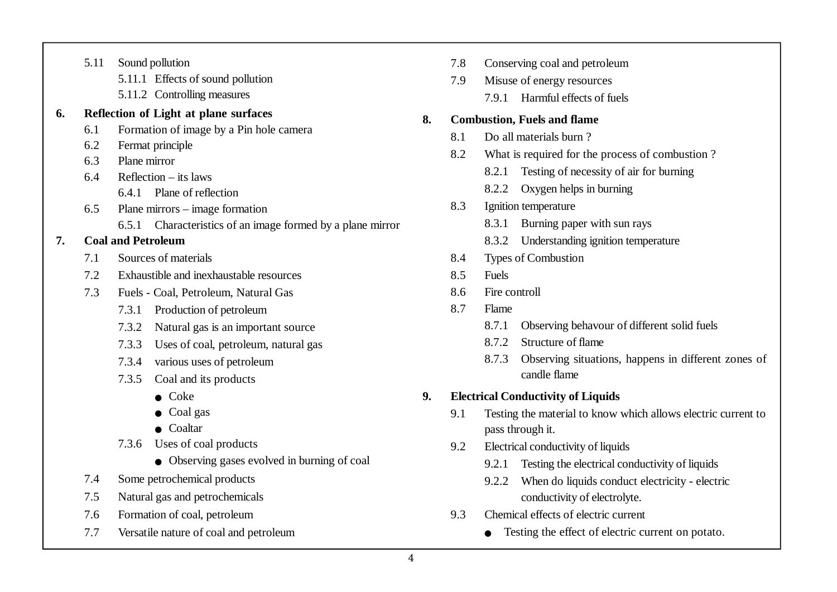|    | 5.11                                | Sound pollution                                            |  |  |  |  |
|----|-------------------------------------|------------------------------------------------------------|--|--|--|--|
|    |                                     | 5.11.1 Effects of sound pollution                          |  |  |  |  |
|    |                                     | 5.11.2 Controlling measures                                |  |  |  |  |
| 6. |                                     | Reflection of Light at plane surfaces                      |  |  |  |  |
|    | 6.1                                 | Formation of image by a Pin hole camera                    |  |  |  |  |
|    | 6.2                                 | Fermat principle                                           |  |  |  |  |
|    | 6.3                                 | Plane mirror                                               |  |  |  |  |
|    | 6.4                                 | Reflection $-$ its laws                                    |  |  |  |  |
|    |                                     | 6.4.1 Plane of reflection                                  |  |  |  |  |
|    | 6.5                                 | Plane mirrors – image formation                            |  |  |  |  |
|    |                                     | 6.5.1 Characteristics of an image formed by a plane mirror |  |  |  |  |
| 7. |                                     | <b>Coal and Petroleum</b>                                  |  |  |  |  |
|    | 7.1                                 | Sources of materials                                       |  |  |  |  |
|    | 7.2                                 | Exhaustible and inexhaustable resources                    |  |  |  |  |
|    | 7.3                                 | Fuels - Coal, Petroleum, Natural Gas                       |  |  |  |  |
|    |                                     | Production of petroleum<br>7.3.1                           |  |  |  |  |
|    |                                     | 7.3.2<br>Natural gas is an important source                |  |  |  |  |
|    |                                     | 7.3.3<br>Uses of coal, petroleum, natural gas              |  |  |  |  |
|    |                                     | 7.3.4 various uses of petroleum                            |  |  |  |  |
|    |                                     | 7.3.5 Coal and its products                                |  |  |  |  |
|    |                                     | $\bullet$ Coke                                             |  |  |  |  |
|    |                                     | Coal gas                                                   |  |  |  |  |
|    |                                     | Coaltar                                                    |  |  |  |  |
|    |                                     | 7.3.6 Uses of coal products                                |  |  |  |  |
|    |                                     | • Observing gases evolved in burning of coal               |  |  |  |  |
|    | 7.4                                 | Some petrochemical products                                |  |  |  |  |
|    | 7.5                                 | Natural gas and petrochemicals                             |  |  |  |  |
|    | Formation of coal, petroleum<br>7.6 |                                                            |  |  |  |  |

7.7 Versatile nature of coal and petroleum

- 7.8 Conserving coal and petroleum
- 7.9 Misuse of energy resources
	- 7.9.1 Harmful effects of fuels

#### **8. Combustion, Fuels and flame**

- 8.1 Do all materials burn ?
- 8.2 What is required for the process of combustion ?
	- 8.2.1 Testing of necessity of air for burning
	- 8.2.2 Oxygen helps in burning
- 8.3 Ignition temperature
	- 8.3.1 Burning paper with sun rays
	- 8.3.2 Understanding ignition temperature
- 8.4 Types of Combustion
- 8.5 Fuels
- 8.6 Fire controll
- 8.7 Flame
	- 8.7.1 Observing behavour of different solid fuels
	- 8.7.2 Structure of flame
	- 8.7.3 Observing situations, happens in different zones of candle flame

## **9. Electrical Conductivity of Liquids**

- 9.1 Testing the material to know which allows electric current to pass through it.
- 9.2 Electrical conductivity of liquids
	- 9.2.1 Testing the electrical conductivity of liquids
	- 9.2.2 When do liquids conduct electricity electric conductivity of electrolyte.
- 9.3 Chemical effects of electric current
	- Testing the effect of electric current on potato.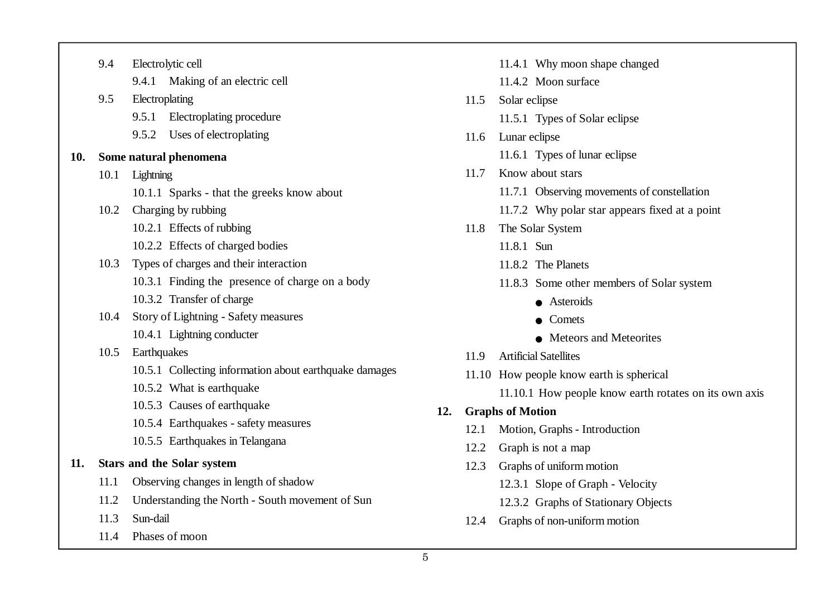|     | 9.4  | Electrolytic cell                                      |  |  |  |  |
|-----|------|--------------------------------------------------------|--|--|--|--|
|     |      | 9.4.1 Making of an electric cell                       |  |  |  |  |
|     | 9.5  | Electroplating                                         |  |  |  |  |
|     |      | 9.5.1<br>Electroplating procedure                      |  |  |  |  |
|     |      | 9.5.2 Uses of electroplating                           |  |  |  |  |
| 10. |      | Some natural phenomena                                 |  |  |  |  |
|     | 10.1 | Lightning                                              |  |  |  |  |
|     |      | 10.1.1 Sparks - that the greeks know about             |  |  |  |  |
|     |      | 10.2 Charging by rubbing                               |  |  |  |  |
|     |      | 10.2.1 Effects of rubbing                              |  |  |  |  |
|     |      | 10.2.2 Effects of charged bodies                       |  |  |  |  |
|     | 10.3 | Types of charges and their interaction                 |  |  |  |  |
|     |      | 10.3.1 Finding the presence of charge on a body        |  |  |  |  |
|     |      | 10.3.2 Transfer of charge                              |  |  |  |  |
|     | 10.4 | Story of Lightning - Safety measures                   |  |  |  |  |
|     |      | 10.4.1 Lightning conducter                             |  |  |  |  |
|     | 10.5 | Earthquakes                                            |  |  |  |  |
|     |      | 10.5.1 Collecting information about earthquake damages |  |  |  |  |
|     |      | 10.5.2 What is earthquake                              |  |  |  |  |
|     |      | 10.5.3 Causes of earthquake                            |  |  |  |  |
|     |      | 10.5.4 Earthquakes - safety measures                   |  |  |  |  |
|     |      | 10.5.5 Earthquakes in Telangana                        |  |  |  |  |
| 11. |      | <b>Stars and the Solar system</b>                      |  |  |  |  |
|     | 11.1 | Observing changes in length of shadow                  |  |  |  |  |
|     |      | 11.2 Understanding the North - South movement of Sun   |  |  |  |  |
|     | 11.3 | Sun-dail                                               |  |  |  |  |
|     |      |                                                        |  |  |  |  |

11.4 Phases of moon

- 11.4.1 Why moon shape changed
- 11.4.2 Moon surface
- 11.5 Solar eclipse
	- 11.5.1 Types of Solar eclipse
- 11.6 Lunar eclipse
	- 11.6.1 Types of lunar eclipse
- 11.7 Know about stars
	- 11.7.1 Observing movements of constellation
	- 11.7.2 Why polar star appears fixed at a point
- 11.8 The Solar System
	- 11.8.1 Sun
	- 11.8.2. The Planets
	- 11.8.3 Some other members of Solar system
		- Asteroids
		- $\bullet$  Comets
		- $\bullet$  Meteors and Meteorites
- 11.9 Artificial Satellites
- 11.10 How people know earth is spherical
	- 11.10.1 How people know earth rotates on its own axis

### **12. Graphs of Motion**

- 12.1 Motion, Graphs Introduction
- 12.2 Graph is not a map
- 12.3 Graphs of uniform motion
	- 12.3.1 Slope of Graph Velocity
	- 12.3.2 Graphs of Stationary Objects
- 12.4 Graphs of non-uniform motion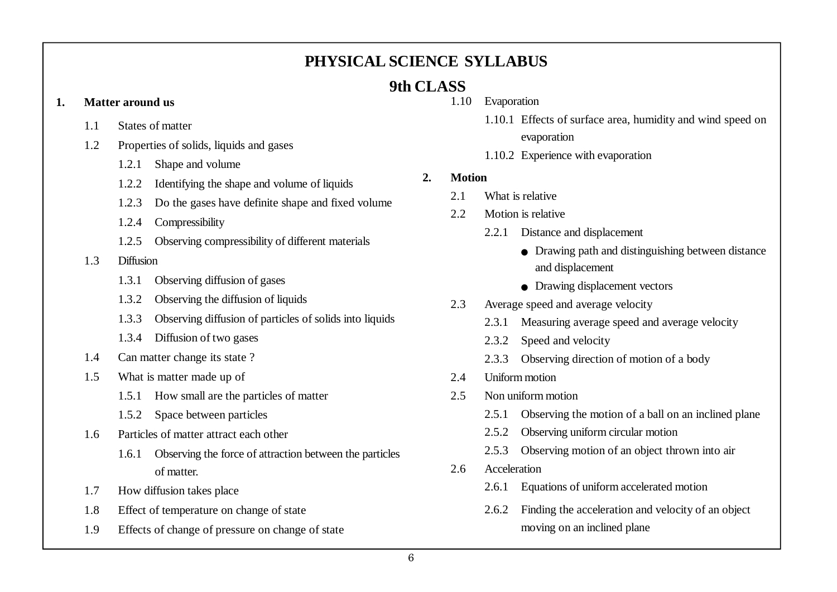## **PHYSICAL SCIENCE SYLLABUS**

# **9th CLASS**

### **1. Matter around us**

- 1.1 States of matter
- 1.2 Properties of solids, liquids and gases
	- 1.2.1 Shape and volume
	- 1.2.2 Identifying the shape and volume of liquids
	- 1.2.3 Do the gases have definite shape and fixed volume
	- 1.2.4 Compressibility
	- 1.2.5 Observing compressibility of different materials
- 1.3 Diffusion
	- 1.3.1 Observing diffusion of gases
	- 1.3.2 Observing the diffusion of liquids
	- 1.3.3 Observing diffusion of particles of solids into liquids
	- 1.3.4 Diffusion of two gases
- 1.4 Can matter change its state ?
- 1.5 What is matter made up of
	- 1.5.1 How small are the particles of matter
	- 1.5.2 Space between particles
- 1.6 Particles of matter attract each other
	- 1.6.1 Observing the force of attraction between the particles of matter.
- 1.7 How diffusion takes place
- 1.8 Effect of temperature on change of state
- 1.9 Effects of change of pressure on change of state
- 1.10 Evaporation
	- 1.10.1 Effects of surface area, humidity and wind speed on evaporation
	- 1.10.2 Experience with evaporation

## **2. Motion**

- 2.1 What is relative
- 2.2 Motion is relative
	- 2.2.1 Distance and displacement
		- $\bullet$  Drawing path and distinguishing between distance and displacement
		- $\bullet$  Drawing displacement vectors
- 2.3 Average speed and average velocity
	- 2.3.1 Measuring average speed and average velocity
	- 2.3.2 Speed and velocity
	- 2.3.3 Observing direction of motion of a body
- 2.4 Uniform motion
- 2.5 Non uniform motion
	- 2.5.1 Observing the motion of a ball on an inclined plane
	- 2.5.2 Observing uniform circular motion
	- 2.5.3 Observing motion of an object thrown into air
- 2.6 Acceleration
	- 2.6.1 Equations of uniform accelerated motion
	- 2.6.2 Finding the acceleration and velocity of an object moving on an inclined plane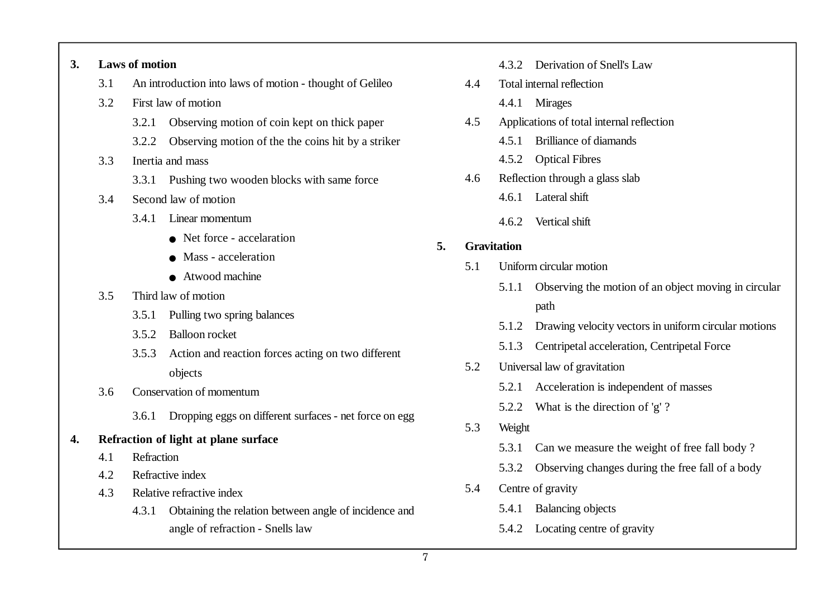#### **3. Laws of motion**

- 3.1 An introduction into laws of motion thought of Gelileo
- 3.2 First law of motion
	- 3.2.1 Observing motion of coin kept on thick paper
	- 3.2.2 Observing motion of the the coins hit by a striker
- 3.3 Inertia and mass
	- 3.3.1 Pushing two wooden blocks with same force
- 3.4 Second law of motion
	- 3.4.1 Linear momentum
		- Net force accelaration
		- $\bullet$  Mass acceleration
		- $\bullet$  Atwood machine
- 3.5 Third law of motion
	- 3.5.1 Pulling two spring balances
	- 3.5.2 Balloon rocket
	- 3.5.3 Action and reaction forces acting on two different objects
- 3.6 Conservation of momentum
	- 3.6.1 Dropping eggs on different surfaces net force on egg

### **4. Refraction of light at plane surface**

- 4.1 Refraction
- 4.2 Refractive index
- 4.3 Relative refractive index
	- 4.3.1 Obtaining the relation between angle of incidence and angle of refraction - Snells law
- 4.3.2 Derivation of Snell's Law
- 4.4 Total internal reflection
	- 4.4.1 Mirages
- 4.5 Applications of total internal reflection
	- 4.5.1 Brilliance of diamands
	- 4.5.2 Optical Fibres
- 4.6 Reflection through a glass slab
	- 4.6.1 Lateral shift
	- 4.6.2 Vertical shift

## **5. Gravitation**

- 5.1 Uniform circular motion
	- 5.1.1 Observing the motion of an object moving in circular path
	- 5.1.2 Drawing velocity vectors in uniform circular motions
	- 5.1.3 Centripetal acceleration, Centripetal Force
- 5.2 Universal law of gravitation
	- 5.2.1 Acceleration is independent of masses
	- 5.2.2 What is the direction of 'g' ?
- 5.3 Weight
	- 5.3.1 Can we measure the weight of free fall body ?
	- 5.3.2 Observing changes during the free fall of a body
- 5.4 Centre of gravity
	- 5.4.1 Balancing objects
	- 5.4.2 Locating centre of gravity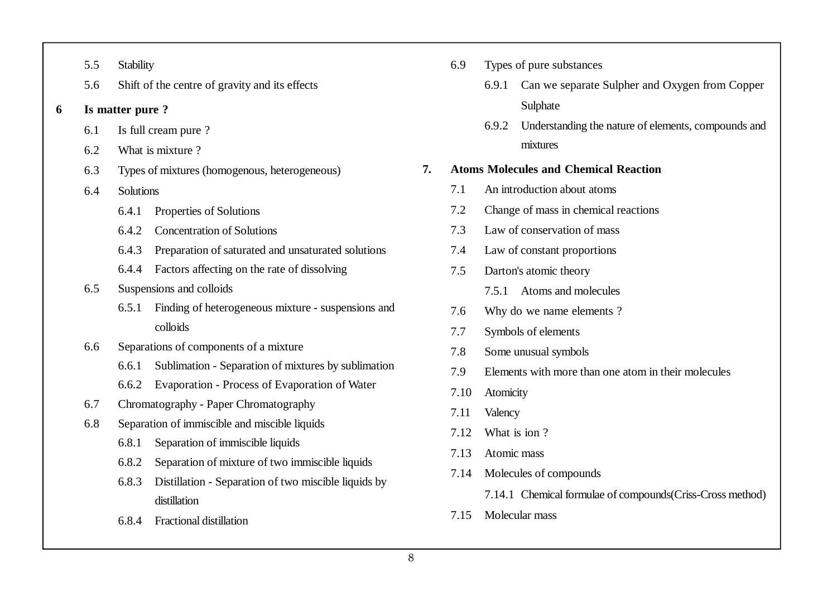|  | Stability |
|--|-----------|
|--|-----------|

- 5.6 Shift of the centre of gravity and its effects
- **6 Is matter pure ?**
	- 6.1 Is full cream pure ?
	- 6.2 What is mixture ?
	- 6.3 Types of mixtures (homogenous, heterogeneous)
	- 6.4 Solutions
		- 6.4.1 Properties of Solutions
		- 6.4.2 Concentration of Solutions
		- 6.4.3 Preparation of saturated and unsaturated solutions
		- 6.4.4 Factors affecting on the rate of dissolving

### 6.5 Suspensions and colloids

- 6.5.1 Finding of heterogeneous mixture suspensions and colloids
- 6.6 Separations of components of a mixture
	- 6.6.1 Sublimation Separation of mixtures by sublimation
	- 6.6.2 Evaporation Process of Evaporation of Water
- 6.7 Chromatography Paper Chromatography
- 6.8 Separation of immiscible and miscible liquids
	- 6.8.1 Separation of immiscible liquids
	- 6.8.2 Separation of mixture of two immiscible liquids
	- 6.8.3 Distillation Separation of two miscible liquids by distillation
	- 6.8.4 Fractional distillation
- 6.9 Types of pure substances
	- 6.9.1 Can we separate Sulpher and Oxygen from Copper Sulphate
	- 6.9.2 Understanding the nature of elements, compounds and mixtures

### **7. Atoms Molecules and Chemical Reaction**

- 7.1 An introduction about atoms
- 7.2 Change of mass in chemical reactions
- 7.3 Law of conservation of mass
- 7.4 Law of constant proportions
- 7.5 Darton's atomic theory
	- 7.5.1 Atoms and molecules
- 7.6 Why do we name elements ?
- 7.7 Symbols of elements
- 7.8 Some unusual symbols
- 7.9 Elements with more than one atom in their molecules
- 7.10 Atomicity
- 7.11 Valency
- 7.12 What is ion ?
- 7.13 Atomic mass
- 7.14 Molecules of compounds
	- 7.14.1 Chemical formulae of compounds(Criss-Cross method)
- 7.15 Molecular mass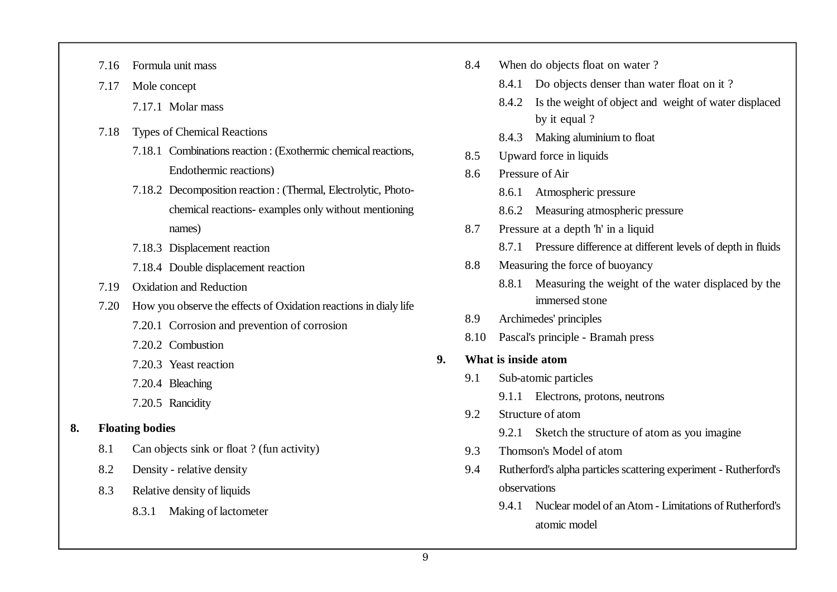- 7.16 Formula unit mass
- 7.17 Mole concept
	- 7.17.1 Molar mass
- 7.18 Types of Chemical Reactions
	- 7.18.1 Combinations reaction : (Exothermic chemical reactions, Endothermic reactions)
	- 7.18.2 Decomposition reaction : (Thermal, Electrolytic, Photochemical reactions- examples only without mentioning names)
	- 7.18.3 Displacement reaction
	- 7.18.4 Double displacement reaction
- 7.19 Oxidation and Reduction
- 7.20 How you observe the effects of Oxidation reactions in dialy life
	- 7.20.1 Corrosion and prevention of corrosion
	- 7.20.2 Combustion
	- 7.20.3 Yeast reaction
	- 7.20.4 Bleaching
	- 7.20.5 Rancidity

## **8. Floating bodies**

- 8.1 Can objects sink or float ? (fun activity)
- 8.2 Density relative density
- 8.3 Relative density of liquids
	- 8.3.1 Making of lactometer
- 8.4 When do objects float on water ?
	- 8.4.1 Do objects denser than water float on it ?
	- 8.4.2 Is the weight of object and weight of water displaced by it equal ?
	- 8.4.3 Making aluminium to float
- 8.5 Upward force in liquids
- 8.6 Pressure of Air
	- 8.6.1 Atmospheric pressure
	- 8.6.2 Measuring atmospheric pressure
- 8.7 Pressure at a depth 'h' in a liquid
	- 8.7.1 Pressure difference at different levels of depth in fluids
- 8.8 Measuring the force of buoyancy
	- 8.8.1 Measuring the weight of the water displaced by the immersed stone
- 8.9 Archimedes' principles
- 8.10 Pascal's principle Bramah press
- **9. What is inside atom**
	- 9.1 Sub-atomic particles
		- 9.1.1 Electrons, protons, neutrons
	- 9.2 Structure of atom
		- 9.2.1 Sketch the structure of atom as you imagine
	- 9.3 Thomson's Model of atom
	- 9.4 Rutherford's alpha particles scattering experiment Rutherford's observations
		- 9.4.1 Nuclear model of an Atom Limitations of Rutherford's atomic model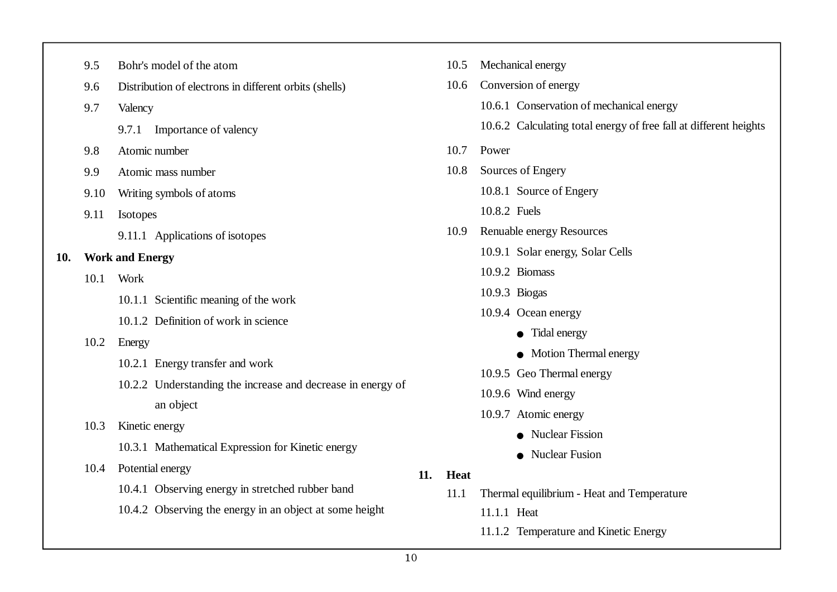|                                 | 9.5                             | Bohr's model of the atom                                            |  |  |
|---------------------------------|---------------------------------|---------------------------------------------------------------------|--|--|
|                                 | 9.6                             | Distribution of electrons in different orbits (shells)              |  |  |
|                                 | 9.7                             | Valency                                                             |  |  |
|                                 |                                 | 9.7.1<br>Importance of valency                                      |  |  |
|                                 | 9.8                             | Atomic number                                                       |  |  |
|                                 | 9.9                             | Atomic mass number                                                  |  |  |
|                                 | 9.10                            | Writing symbols of atoms                                            |  |  |
|                                 | 9.11                            | Isotopes                                                            |  |  |
| 9.11.1 Applications of isotopes |                                 |                                                                     |  |  |
| 10.                             |                                 | <b>Work and Energy</b>                                              |  |  |
|                                 | 10.1                            | Work                                                                |  |  |
|                                 |                                 | 10.1.1 Scientific meaning of the work                               |  |  |
|                                 |                                 | 10.1.2 Definition of work in science                                |  |  |
|                                 | 10.2                            | Energy                                                              |  |  |
|                                 | 10.2.1 Energy transfer and work |                                                                     |  |  |
|                                 |                                 | 10.2.2 Understanding the increase and decrease in energy            |  |  |
|                                 | an object                       |                                                                     |  |  |
|                                 | 10.3                            | Kinetic energy<br>10.3.1 Mathematical Expression for Kinetic energy |  |  |
|                                 |                                 |                                                                     |  |  |
|                                 | 10.4                            | Potential energy                                                    |  |  |
|                                 |                                 | 10.4.1 Observing energy in stretched rubber band                    |  |  |
|                                 |                                 | 10.4.2 Observing the energy in an object at some height             |  |  |
|                                 |                                 |                                                                     |  |  |

|     |             | 10.5 Mechanical energy                                            |  |  |
|-----|-------------|-------------------------------------------------------------------|--|--|
|     | 10.6        | Conversion of energy                                              |  |  |
|     |             | 10.6.1 Conservation of mechanical energy                          |  |  |
|     |             | 10.6.2 Calculating total energy of free fall at different heights |  |  |
|     | 10.7        | Power                                                             |  |  |
|     | 10.8        | Sources of Engery                                                 |  |  |
|     |             | 10.8.1 Source of Engery                                           |  |  |
|     |             | 10.8.2 Fuels                                                      |  |  |
|     | 10.9        | Renuable energy Resources                                         |  |  |
|     |             | 10.9.1 Solar energy, Solar Cells                                  |  |  |
|     |             | 10.9.2 Biomass                                                    |  |  |
|     |             | $10.9.3$ Biogas                                                   |  |  |
|     |             | 10.9.4 Ocean energy                                               |  |  |
|     |             | $\bullet$ Tidal energy                                            |  |  |
|     |             | • Motion Thermal energy                                           |  |  |
|     |             | 10.9.5 Geo Thermal energy                                         |  |  |
|     |             | 10.9.6 Wind energy                                                |  |  |
|     |             | 10.9.7 Atomic energy                                              |  |  |
|     |             | • Nuclear Fission                                                 |  |  |
|     |             | Nuclear Fusion                                                    |  |  |
| 11. | <b>Heat</b> |                                                                   |  |  |
|     | 11.1        | Thermal equilibrium - Heat and Temperature                        |  |  |
|     |             |                                                                   |  |  |

- 11.1.1 Heat
- 11.1.2 Temperature and Kinetic Energy

in energy of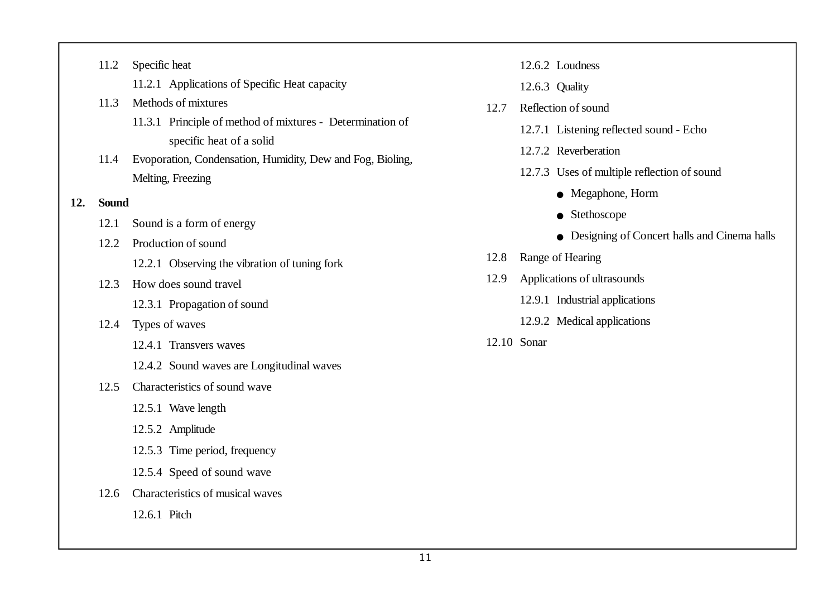- 11.2.1 Applications of Specific Heat capacity
- 11.3 Methods of mixtures
	- 11.3.1 Principle of method of mixtures Determination of specific heat of a solid
- 11.4 Evoporation, Condensation, Humidity, Dew and Fog, Bioling, Melting, Freezing
- **12. Sound**
	- 12.1 Sound is a form of energy
	- 12.2 Production of sound
		- 12.2.1 Observing the vibration of tuning fork
	- 12.3 How does sound travel
		- 12.3.1 Propagation of sound
	- 12.4 Types of waves
		- 12.4.1 Transvers waves
		- 12.4.2 Sound waves are Longitudinal waves

#### 12.5 Characteristics of sound wave

- 12.5.1 Wave length
- 12.5.2 Amplitude
- 12.5.3 Time period, frequency
- 12.5.4 Speed of sound wave
- 12.6 Characteristics of musical waves
	- 12.6.1 Pitch
- 12.6.2 Loudness
- 12.6.3 Quality
- 12.7 Reflection of sound
	- 12.7.1 Listening reflected sound Echo
	- 12.7.2 Reverberation
	- 12.7.3 Uses of multiple reflection of sound
		- Megaphone, Horm
		- $\bullet$  Stethoscope
		- $\bullet$  Designing of Concert halls and Cinema halls
- 12.8 Range of Hearing
- 12.9 Applications of ultrasounds
	- 12.9.1 Industrial applications
	- 12.9.2 Medical applications
- 12.10 Sonar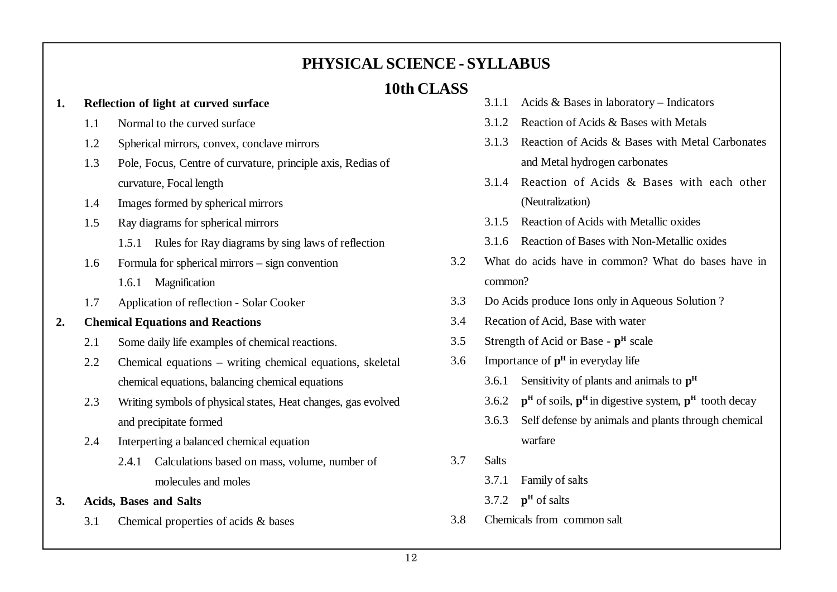## **PHYSICAL SCIENCE - SYLLABUS**

## **10th CLASS**

#### **1. Reflection of light at curved surface**

- 1.1 Normal to the curved surface
- 1.2 Spherical mirrors, convex, conclave mirrors
- 1.3 Pole, Focus, Centre of curvature, principle axis, Redias of curvature, Focal length
- 1.4 Images formed by spherical mirrors
- 1.5 Ray diagrams for spherical mirrors
	- 1.5.1 Rules for Ray diagrams by sing laws of reflection
- 1.6 Formula for spherical mirrors sign convention
	- 1.6.1 Magnification
- 1.7 Application of reflection Solar Cooker

## **2. Chemical Equations and Reactions**

- 2.1 Some daily life examples of chemical reactions.
- 2.2 Chemical equations writing chemical equations, skeletal chemical equations, balancing chemical equations
- 2.3 Writing symbols of physical states, Heat changes, gas evolved and precipitate formed
- 2.4 Interperting a balanced chemical equation
	- 2.4.1 Calculations based on mass, volume, number of molecules and moles
- **3. Acids, Bases and Salts**
	- 3.1 Chemical properties of acids & bases
- 3.1.1 Acids & Bases in laboratory Indicators
- 3.1.2 Reaction of Acids & Bases with Metals
- 3.1.3 Reaction of Acids & Bases with Metal Carbonates and Metal hydrogen carbonates
- 3.1.4 Reaction of Acids & Bases with each other (Neutralization)
- 3.1.5 Reaction of Acids with Metallic oxides
- 3.1.6 Reaction of Bases with Non-Metallic oxides
- 3.2 What do acids have in common? What do bases have in common?
- 3.3 Do Acids produce Ions only in Aqueous Solution ?
- 3.4 Recation of Acid, Base with water
- 3.5 Strength of Acid or Base **p H** scale
- 3.6 Importance of **p H** in everyday life
	- 3.6.1 Sensitivity of plants and animals to **p H**
	- 3.6.2 **p H** of soils, **p <sup>H</sup>**in digestive system, **p <sup>H</sup>**tooth decay
	- 3.6.3 Self defense by animals and plants through chemical warfare
- 3.7 Salts
	- 3.7.1 Family of salts
	- 3.7.2  $\mathbf{p}^{\text{H}}$  of salts
- 3.8 Chemicals from common salt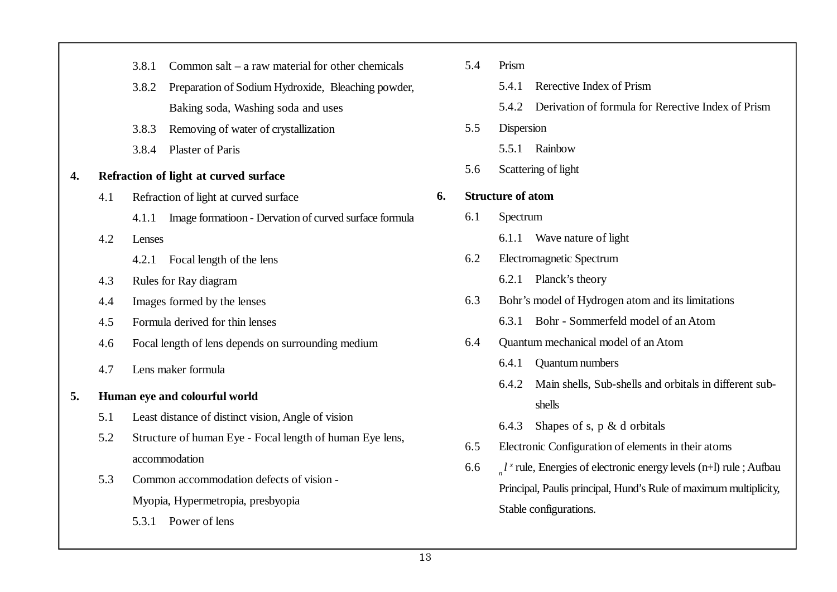|    |     | 3.8.1                                                    | Common salt $-$ a raw material for other chemicals     |  |  |  |  |
|----|-----|----------------------------------------------------------|--------------------------------------------------------|--|--|--|--|
|    |     | 3.8.2                                                    | Preparation of Sodium Hydroxide, Bleaching powder,     |  |  |  |  |
|    |     |                                                          | Baking soda, Washing soda and uses                     |  |  |  |  |
|    |     | 3.8.3                                                    | Removing of water of crystallization                   |  |  |  |  |
|    |     | 3.8.4                                                    | <b>Plaster of Paris</b>                                |  |  |  |  |
| 4. |     |                                                          | Refraction of light at curved surface                  |  |  |  |  |
|    | 4.1 |                                                          | Refraction of light at curved surface                  |  |  |  |  |
|    |     | 4.1.1                                                    | Image formatioon - Dervation of curved surface formula |  |  |  |  |
|    | 4.2 |                                                          | Lenses                                                 |  |  |  |  |
|    |     | 4.2.1                                                    | Focal length of the lens                               |  |  |  |  |
|    | 4.3 | Rules for Ray diagram                                    |                                                        |  |  |  |  |
|    | 4.4 |                                                          | Images formed by the lenses                            |  |  |  |  |
|    | 4.5 | Formula derived for thin lenses                          |                                                        |  |  |  |  |
|    | 4.6 | Focal length of lens depends on surrounding medium       |                                                        |  |  |  |  |
|    | 4.7 | Lens maker formula                                       |                                                        |  |  |  |  |
| 5. |     | Human eye and colourful world                            |                                                        |  |  |  |  |
|    | 5.1 | Least distance of distinct vision, Angle of vision       |                                                        |  |  |  |  |
|    | 5.2 | Structure of human Eye - Focal length of human Eye lens, |                                                        |  |  |  |  |
|    |     | accommodation                                            |                                                        |  |  |  |  |
|    | 5.3 | Common accommodation defects of vision -                 |                                                        |  |  |  |  |
|    |     | Myopia, Hypermetropia, presbyopia                        |                                                        |  |  |  |  |
|    |     | 5.3.1<br>Power of lens                                   |                                                        |  |  |  |  |
|    |     |                                                          |                                                        |  |  |  |  |

| 5.4 | Prism                                                               |                                                        |  |  |  |  |
|-----|---------------------------------------------------------------------|--------------------------------------------------------|--|--|--|--|
|     | 5.4.1                                                               | Rerective Index of Prism                               |  |  |  |  |
|     | 5.4.2                                                               | Derivation of formula for Rerective Index of Prism     |  |  |  |  |
| 5.5 | Dispersion                                                          |                                                        |  |  |  |  |
|     | 5.5.1                                                               | Rainbow                                                |  |  |  |  |
| 5.6 | Scattering of light                                                 |                                                        |  |  |  |  |
|     | <b>Structure of atom</b>                                            |                                                        |  |  |  |  |
| 6.1 | Spectrum                                                            |                                                        |  |  |  |  |
|     | 6.1.1                                                               | Wave nature of light                                   |  |  |  |  |
| 6.2 |                                                                     | Electromagnetic Spectrum                               |  |  |  |  |
|     | 6.2.1                                                               | Planck's theory                                        |  |  |  |  |
| 6.3 | Bohr's model of Hydrogen atom and its limitations                   |                                                        |  |  |  |  |
|     | 6.3.1                                                               | Bohr - Sommerfeld model of an Atom                     |  |  |  |  |
| 6.4 | Quantum mechanical model of an Atom                                 |                                                        |  |  |  |  |
|     | 6.4.1                                                               | Quantum numbers                                        |  |  |  |  |
|     | 6.4.2                                                               | Main shells, Sub-shells and orbitals in different sub- |  |  |  |  |
|     |                                                                     | shells                                                 |  |  |  |  |
|     | 6.4.3                                                               | Shapes of s, $p \& d$ orbitals                         |  |  |  |  |
| 6.5 | Electronic Configuration of elements in their atoms                 |                                                        |  |  |  |  |
| 6.6 | $l^x$ rule, Energies of electronic energy levels (n+l) rule; Aufbau |                                                        |  |  |  |  |
|     | Principal, Paulis principal, Hund's Rule of maximum multiplicity,   |                                                        |  |  |  |  |
|     |                                                                     | Stable configurations.                                 |  |  |  |  |
|     |                                                                     |                                                        |  |  |  |  |

**6.**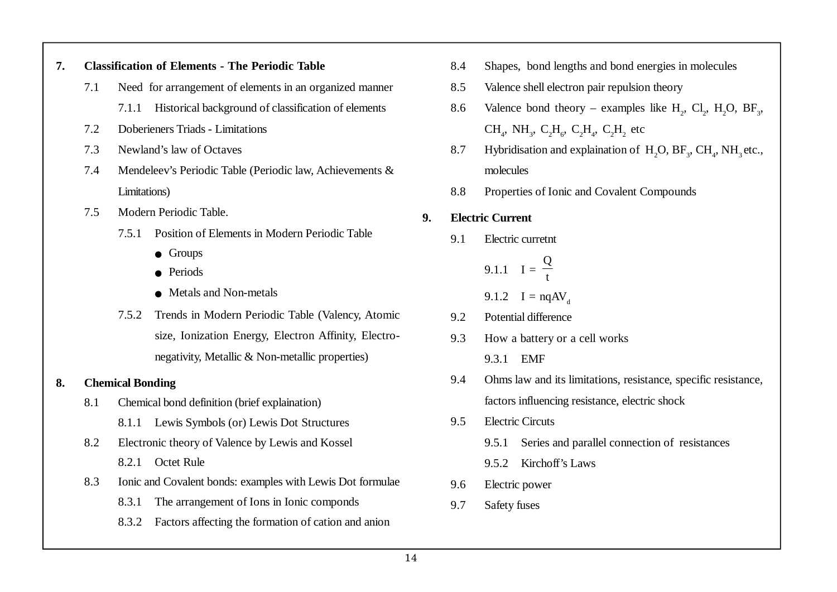#### **7. Classification of Elements - The Periodic Table**

- 7.1 Need for arrangement of elements in an organized manner
	- 7.1.1 Historical background of classification of elements
- 7.2 Doberieners Triads Limitations
- 7.3 Newland's law of Octaves
- 7.4 Mendeleev's Periodic Table (Periodic law, Achievements & Limitations)
- 7.5 Modern Periodic Table.
	- 7.5.1 Position of Elements in Modern Periodic Table
		- $\bullet$  Groups
		- Periods
		- $\bullet$  Metals and Non-metals
	- 7.5.2 Trends in Modern Periodic Table (Valency, Atomic size, Ionization Energy, Electron Affinity, Electronegativity, Metallic & Non-metallic properties)

## **8. Chemical Bonding**

- 8.1 Chemical bond definition (brief explaination)
	- 8.1.1 Lewis Symbols (or) Lewis Dot Structures
- 8.2 Electronic theory of Valence by Lewis and Kossel
	- 8.2.1 Octet Rule
- 8.3 Ionic and Covalent bonds: examples with Lewis Dot formulae
	- 8.3.1 The arrangement of Ions in Ionic componds
	- 8.3.2 Factors affecting the formation of cation and anion
- 8.4 Shapes, bond lengths and bond energies in molecules
- 8.5 Valence shell electron pair repulsion theory
- 8.6 Valence bond theory examples like  $H_2$ ,  $Cl_2$ ,  $H_2O$ ,  $BF_3$ ,  $CH_4$ , NH<sub>3</sub>, C<sub>2</sub>H<sub>6</sub>, C<sub>2</sub>H<sub>4</sub>, C<sub>2</sub>H<sub>2</sub> etc
- 8.7 Hybridisation and explaination of  $H_2O$ ,  $BF_3$ ,  $CH_4$ ,  $NH_3$  etc., molecules
- 8.8 Properties of Ionic and Covalent Compounds

## **9. Electric Current**

9.1 Electric curretnt

9.1.1  $I =$ Q t 9.1.2  $I = nqAV_{d}$ 9.2 Potential difference

- 9.3 How a battery or a cell works
	- 9.3.1 EMF
- 9.4 Ohms law and its limitations, resistance, specific resistance, factors influencing resistance, electric shock
- 9.5 Electric Circuts
	- 9.5.1 Series and parallel connection of resistances
	- 9.5.2 Kirchoff's Laws
- 9.6 Electric power
- 9.7 Safety fuses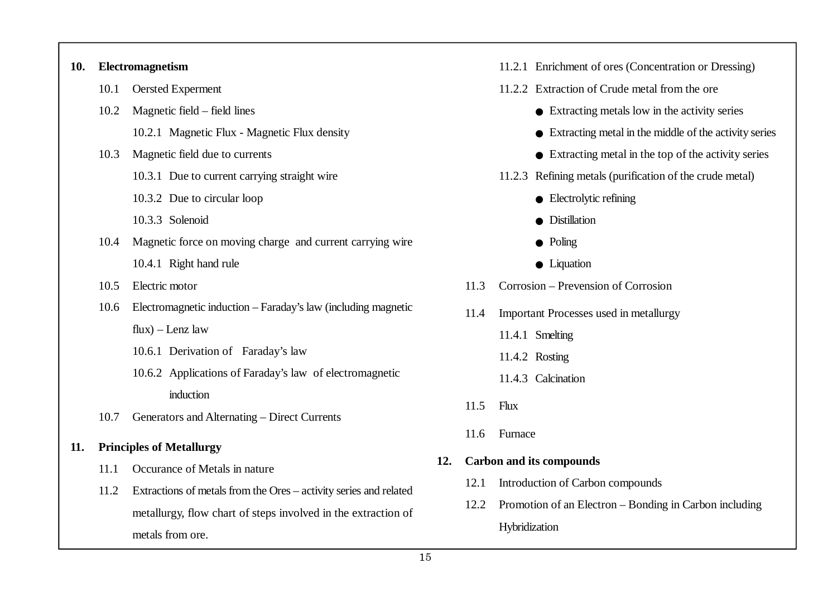| 10. | Electromagnetism |                                                                   |  |      | 11.2.1 Enrichment of ores (Concentration or Dressing)           |  |
|-----|------------------|-------------------------------------------------------------------|--|------|-----------------------------------------------------------------|--|
|     | 10.1             | Oersted Experment                                                 |  |      | 11.2.2 Extraction of Crude metal from the ore                   |  |
|     | 10.2             | Magnetic field – field lines                                      |  |      | $\bullet$ Extracting metals low in the activity series          |  |
|     |                  | 10.2.1 Magnetic Flux - Magnetic Flux density                      |  |      | $\bullet$ Extracting metal in the middle of the activity series |  |
|     | 10.3             | Magnetic field due to currents                                    |  |      | $\bullet$ Extracting metal in the top of the activity series    |  |
|     |                  | 10.3.1 Due to current carrying straight wire                      |  |      | 11.2.3 Refining metals (purification of the crude metal)        |  |
|     |                  | 10.3.2 Due to circular loop                                       |  |      | $\bullet$ Electrolytic refining                                 |  |
|     |                  | 10.3.3 Solenoid                                                   |  |      | · Distillation                                                  |  |
|     | 10.4             | Magnetic force on moving charge and current carrying wire         |  |      | $\bullet$ Poling                                                |  |
|     |                  | 10.4.1 Right hand rule                                            |  |      | $\bullet$ Liquation                                             |  |
|     | 10.5             | Electric motor                                                    |  | 11.3 | Corrosion - Prevension of Corrosion                             |  |
|     | 10.6             | Electromagnetic induction - Faraday's law (including magnetic     |  | 11.4 | Important Processes used in metallurgy                          |  |
|     |                  | $flux$ – Lenz law                                                 |  |      | 11.4.1 Smelting                                                 |  |
|     |                  | 10.6.1 Derivation of Faraday's law                                |  |      | 11.4.2 Rosting                                                  |  |
|     |                  | 10.6.2 Applications of Faraday's law of electromagnetic           |  |      | 11.4.3 Calcination                                              |  |
|     |                  | induction                                                         |  | 11.5 | <b>Flux</b>                                                     |  |
|     | 10.7             | Generators and Alternating - Direct Currents                      |  |      |                                                                 |  |
| 11. |                  | <b>Principles of Metallurgy</b>                                   |  | 11.6 | Furnace                                                         |  |
|     | 11.1             | Occurance of Metals in nature                                     |  |      | <b>Carbon and its compounds</b>                                 |  |
|     | 11.2             | Extractions of metals from the Ores - activity series and related |  | 12.1 | Introduction of Carbon compounds                                |  |
|     |                  | metallurgy, flow chart of steps involved in the extraction of     |  | 12.2 | Promotion of an Electron – Bonding in Carbon including          |  |
|     |                  | metals from ore.                                                  |  |      | Hybridization                                                   |  |